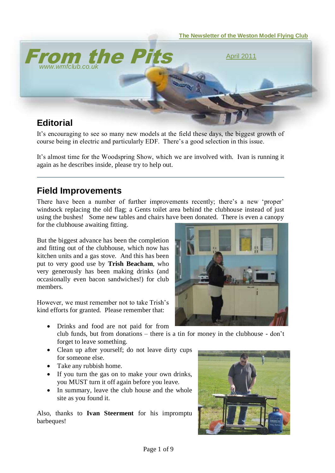

It's encouraging to see so many new models at the field these days, the biggest growth of course being in electric and particularly EDF. There's a good selection in this issue.

It's almost time for the Woodspring Show, which we are involved with. Ivan is running it again as he describes inside, please try to help out.

#### **Field Improvements**

There have been a number of further improvements recently; there's a new 'proper' windsock replacing the old flag; a Gents toilet area behind the clubhouse instead of just using the bushes! Some new tables and chairs have been donated. There is even a canopy for the clubhouse awaiting fitting.

But the biggest advance has been the completion and fitting out of the clubhouse, which now has kitchen units and a gas stove. And this has been put to very good use by **Trish Beacham**, who very generously has been making drinks (and occasionally even bacon sandwiches!) for club members.

However, we must remember not to take Trish's kind efforts for granted. Please remember that:

- Drinks and food are not paid for from club funds, but from donations – there is a tin for money in the clubhouse - don't forget to leave something.
- Clean up after yourself; do not leave dirty cups for someone else.
- Take any rubbish home.
- If you turn the gas on to make your own drinks, you MUST turn it off again before you leave.
- In summary, leave the club house and the whole site as you found it.

Also, thanks to **Ivan Steerment** for his impromptu barbeques!



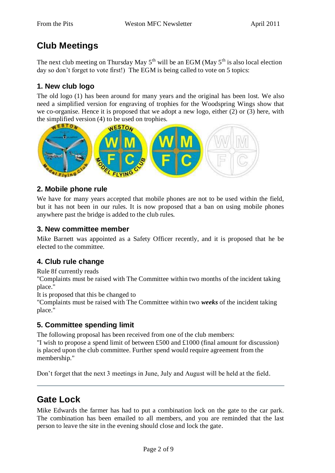# **Club Meetings**

The next club meeting on Thursday May  $5<sup>th</sup>$  will be an EGM (May  $5<sup>th</sup>$  is also local election day so don't forget to vote first!) The EGM is being called to vote on 5 topics:

#### **1. New club logo**

The old logo (1) has been around for many years and the original has been lost. We also need a simplified version for engraving of trophies for the Woodspring Wings show that we co-organise. Hence it is proposed that we adopt a new logo, either (2) or (3) here, with the simplified version (4) to be used on trophies.



#### **2. Mobile phone rule**

We have for many years accepted that mobile phones are not to be used within the field, but it has not been in our rules. It is now proposed that a ban on using mobile phones anywhere past the bridge is added to the club rules.

#### **3. New committee member**

Mike Barnett was appointed as a Safety Officer recently, and it is proposed that he be elected to the committee.

#### **4. Club rule change**

Rule 8f currently reads

"Complaints must be raised with The Committee within two months of the incident taking place."

It is proposed that this be changed to

"Complaints must be raised with The Committee within two *weeks* of the incident taking place."

#### **5. Committee spending limit**

The following proposal has been received from one of the club members: "I wish to propose a spend limit of between £500 and £1000 (final amount for discussion) is placed upon the club committee. Further spend would require agreement from the membership."

Don't forget that the next 3 meetings in June, July and August will be held at the field.

## **Gate Lock**

Mike Edwards the farmer has had to put a combination lock on the gate to the car park. The combination has been emailed to all members, and you are reminded that the last person to leave the site in the evening should close and lock the gate.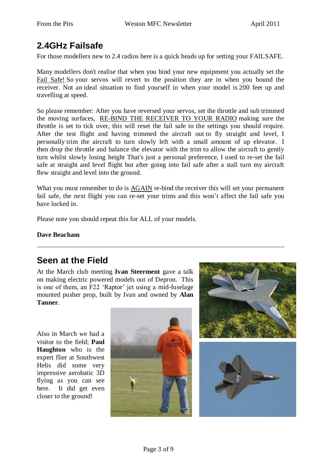# **2.4GHz Failsafe**

For those modellers new to 2.4 radios here is a quick heads up for setting your FAILSAFE.

Many modellers don't realise that when you bind your new equipment you actually set the Fail Safe! So your servos will revert to the position they are in when you bound the receiver. Not an ideal situation to find yourself in when your model is 200 feet up and travelling at speed.

So please remember: After you have reversed your servos, set the throttle and sub trimmed the moving surfaces, RE-BIND THE RECEIVER TO YOUR RADIO making sure the throttle is set to tick over, this will reset the fail safe to the settings you should require. After the test flight and having trimmed the aircraft out to fly straight and level, I personally trim the aircraft to turn slowly left with a small amount of up elevator. I then drop the throttle and balance the elevator with the trim to allow the aircraft to gently turn whilst slowly losing height That's just a personal preference, I used to re-set the fail safe at straight and level flight but after going into fail safe after a stall turn my aircraft flew straight and level into the ground.

What you must remember to do is AGAIN re-bind the receiver this will set your permanent fail safe, the next flight you can re-set your trims and this won't affect the fail safe you have locked in.

Please note you should repeat this for ALL of your models.

**Dave Beacham**

### **Seen at the Field**

At the March club meeting **Ivan Steerment** gave a talk on making electric powered models out of Depron. This is one of them, an F22 'Raptor' jet using a mid-fuselage mounted pusher prop, built by Ivan and owned by **Alan Tanner**.

Also in March we had a visitor to the field; **Paul Haughton** who is the expert flier at Southwest Helis did some very impressive aerobatic 3D flying as you can see here. It did get even closer to the ground!



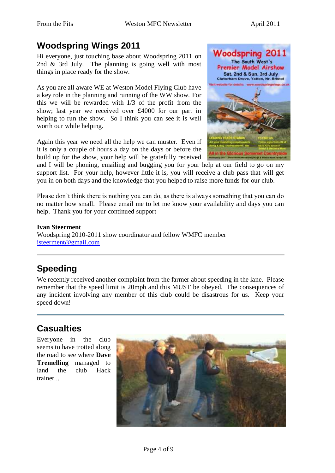# **Woodspring Wings 2011**

Hi everyone, just touching base about Woodspring 2011 on 2nd & 3rd July. The planning is going well with most things in place ready for the show.

As you are all aware WE at Weston Model Flying Club have a key role in the planning and running of the WW show. For this we will be rewarded with 1/3 of the profit from the show; last year we received over £4000 for our part in helping to run the show. So I think you can see it is well worth our while helping.

Again this year we need all the help we can muster. Even if it is only a couple of hours a day on the days or before the build up for the show, your help will be gratefully received



and I will be phoning, emailing and bugging you for your help at our field to go on my support list. For your help, however little it is, you will receive a club pass that will get you in on both days and the knowledge that you helped to raise more funds for our club.

Please don't think there is nothing you can do, as there is always something that you can do no matter how small. Please email me to let me know your availability and days you can help. Thank you for your continued support

**Ivan Steerment** Woodspring 2010-2011 show coordinator and fellow WMFC member [isteerment@gmail.com](mailto:isteerment@gmail.com)

# **Speeding**

We recently received another complaint from the farmer about speeding in the lane. Please remember that the speed limit is 20mph and this MUST be obeyed. The consequences of any incident involving any member of this club could be disastrous for us. Keep your speed down!

# **Casualties**

Everyone in the club seems to have trotted along the road to see where **Dave Tremelling** managed to land the club Hack trainer...

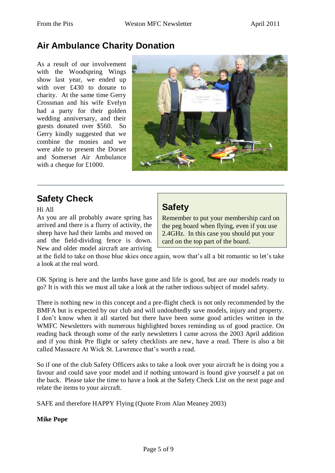## **Air Ambulance Charity Donation**

As a result of our involvement with the Woodspring Wings show last year, we ended up with over £430 to donate to charity. At the same time Gerry Crossman and his wife Evelyn had a party for their golden wedding anniversary, and their guests donated over \$560. So Gerry kindly suggested that we combine the monies and we were able to present the Dorset and Somerset Air Ambulance with a cheque for £1000.



# **Safety Check**

Hi All

As you are all probably aware spring has arrived and there is a flurry of activity, the sheep have had their lambs and moved on and the field-dividing fence is down. New and older model aircraft are arriving

### **Safety**

Remember to put your membership card on the peg board when flying, even if you use 2.4GHz. In this case you should put your card on the top part of the board.

at the field to take on those blue skies once again, wow that's all a bit romantic so let's take a look at the real word.

OK Spring is here and the lambs have gone and life is good, but are our models ready to go? It is with this we must all take a look at the rather tedious subject of model safety.

There is nothing new in this concept and a pre-flight check is not only recommended by the BMFA but is expected by our club and will undoubtedly save models, injury and property. I don't know when it all started but there have been some good articles written in the WMFC Newsletters with numerous highlighted boxes reminding us of good practice. On reading back through some of the early newsletters I came across the 2003 April addition and if you think Pre flight or safety checklists are new, have a read. There is also a bit called Massacre At Wick St. Lawrence that's worth a read.

So if one of the club Safety Officers asks to take a look over your aircraft he is doing you a favour and could save your model and if nothing untoward is found give yourself a pat on the back. Please take the time to have a look at the Safety Check List on the next page and relate the items to your aircraft.

SAFE and therefore HAPPY Flying (Quote From Alan Meaney 2003)

#### **Mike Pope**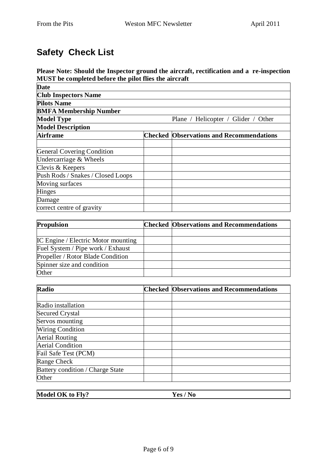# **Safety Check List**

**Please Note: Should the Inspector ground the aircraft, rectification and a re-inspection MUST be completed before the pilot flies the aircraft**

| <b>Date</b>                       |                                                 |
|-----------------------------------|-------------------------------------------------|
| <b>Club Inspectors Name</b>       |                                                 |
| <b>Pilots Name</b>                |                                                 |
| <b>BMFA Membership Number</b>     |                                                 |
| <b>Model Type</b>                 | Plane / Helicopter / Glider / Other             |
| <b>Model Description</b>          |                                                 |
| <b>Airframe</b>                   | <b>Checked Observations and Recommendations</b> |
|                                   |                                                 |
| <b>General Covering Condition</b> |                                                 |
| Undercarriage & Wheels            |                                                 |
| Clevis & Keepers                  |                                                 |
| Push Rods / Snakes / Closed Loops |                                                 |
| Moving surfaces                   |                                                 |
| Hinges                            |                                                 |
| Damage                            |                                                 |
| correct centre of gravity         |                                                 |

| <b>Propulsion</b>                          | <b>Checked Observations and Recommendations</b> |
|--------------------------------------------|-------------------------------------------------|
|                                            |                                                 |
| <b>IC Engine</b> / Electric Motor mounting |                                                 |
| Fuel System / Pipe work / Exhaust          |                                                 |
| Propeller / Rotor Blade Condition          |                                                 |
| Spinner size and condition                 |                                                 |
| Other                                      |                                                 |

| Radio                            | <b>Checked Observations and Recommendations</b> |
|----------------------------------|-------------------------------------------------|
|                                  |                                                 |
| Radio installation               |                                                 |
| <b>Secured Crystal</b>           |                                                 |
| Servos mounting                  |                                                 |
| <b>Wiring Condition</b>          |                                                 |
| <b>Aerial Routing</b>            |                                                 |
| <b>Aerial Condition</b>          |                                                 |
| Fail Safe Test (PCM)             |                                                 |
| Range Check                      |                                                 |
| Battery condition / Charge State |                                                 |
| Other                            |                                                 |

| Model OK to Fly? | Yes |
|------------------|-----|
|                  |     |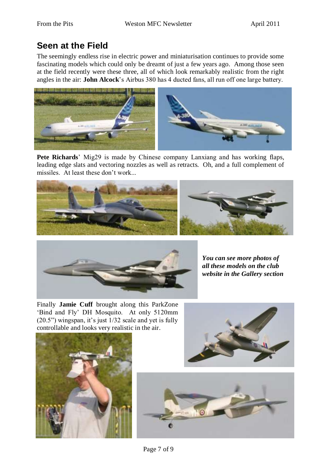# **Seen at the Field**

The seemingly endless rise in electric power and miniaturisation continues to provide some fascinating models which could only be dreamt of just a few years ago. Among those seen at the field recently were these three, all of which look remarkably realistic from the right angles in the air: **John Alcock**'s Airbus 380 has 4 ducted fans, all run off one large battery.



**Pete Richards**' Mig29 is made by Chinese company Lanxiang and has working flaps, leading edge slats and vectoring nozzles as well as retracts. Oh, and a full complement of missiles. At least these don't work...





*You can see more photos of all these models on the club website in the Gallery section*

Finally **Jamie Cuff** brought along this ParkZone 'Bind and Fly' DH Mosquito. At only 5120mm (20.5") wingspan, it's just 1/32 scale and yet is fully controllable and looks very realistic in the air.





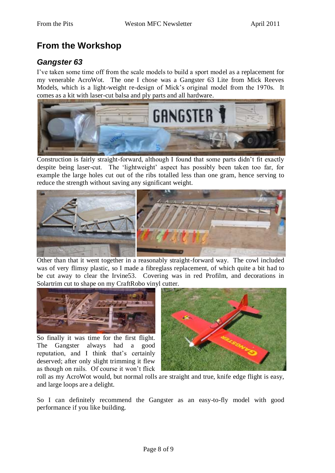# **From the Workshop**

#### *Gangster 63*

I've taken some time off from the scale models to build a sport model as a replacement for my venerable AcroWot. The one I chose was a Gangster 63 Lite from Mick Reeves Models, which is a light-weight re-design of Mick's original model from the 1970s. It comes as a kit with laser-cut balsa and ply parts and all hardware.



Construction is fairly straight-forward, although I found that some parts didn't fit exactly despite being laser-cut. The 'lightweight' aspect has possibly been taken too far, for example the large holes cut out of the ribs totalled less than one gram, hence serving to reduce the strength without saving any significant weight.



Other than that it went together in a reasonably straight-forward way. The cowl included was of very flimsy plastic, so I made a fibreglass replacement, of which quite a bit had to be cut away to clear the Irvine53. Covering was in red Profilm, and decorations in Solartrim cut to shape on my CraftRobo vinyl cutter.



So finally it was time for the first flight. The Gangster always had a good reputation, and I think that's certainly deserved; after only slight trimming it flew as though on rails. Of course it won't flick



roll as my AcroWot would, but normal rolls are straight and true, knife edge flight is easy, and large loops are a delight.

So I can definitely recommend the Gangster as an easy-to-fly model with good performance if you like building.